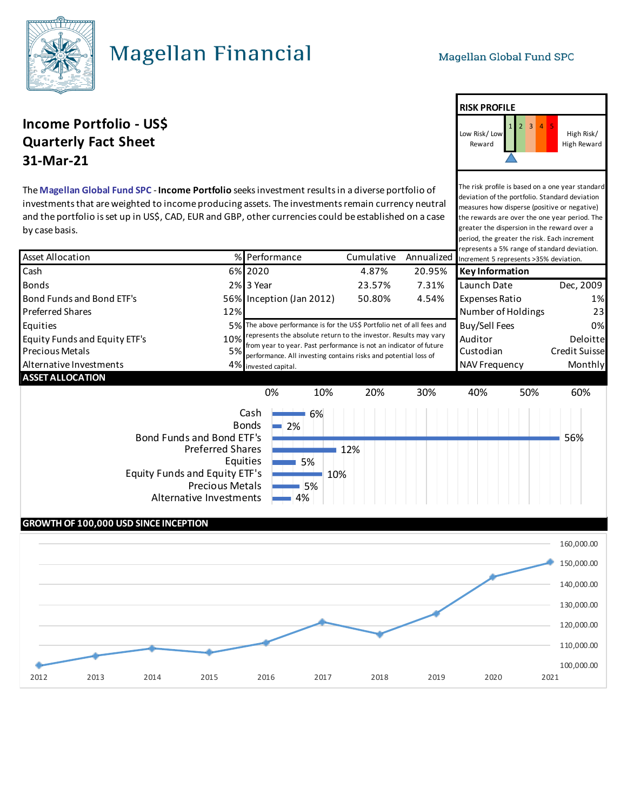

## **Magellan Financial**

The risk profile is based on a one year standard deviation of the portfolio. Standard deviation measures how disperse (positive or negative) the rewards are over the one year period. The

High Risk/ High Reward

**RISK PROFILE**

Low Risk/ Low Reward

## **Income Portfolio - USS Quarterly Fact Sheet 31-Mar-21**

The **Magellan Global Fund SPC** - **Income Portfolio** seeks investment results in a diverse portfolio of investments that are weighted to income producing assets. The investments remain currency neutral and the portfolio is set up in US\$, CAD, EUR and GBP, other currencies could be established on a case by case basis.